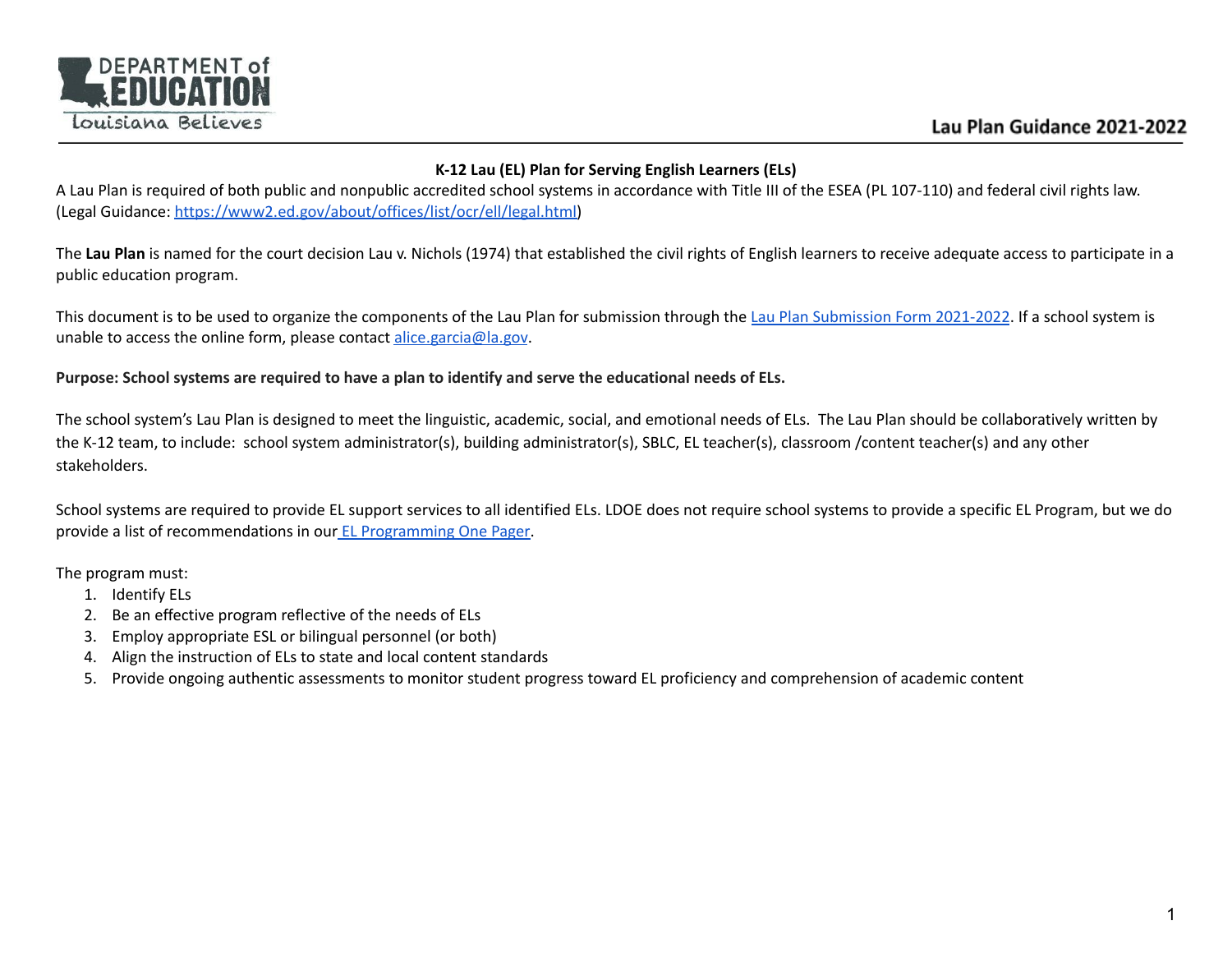

### **K-12 Lau (EL) Plan for Serving English Learners (ELs)**

A Lau Plan is required of both public and nonpublic accredited school systems in accordance with Title III of the ESEA (PL 107-110) and federal civil rights law. (Legal Guidance: [https://www2.ed.gov/about/offices/list/ocr/ell/legal.html\)](https://www2.ed.gov/about/offices/list/ocr/ell/legal.html)

The **Lau Plan** is named for the court decision Lau v. Nichols (1974) that established the civil rights of English learners to receive adequate access to participate in a public education program.

This document is to be used to organize the components of the Lau Plan for submission through the Lau Plan [Submission](https://docs.google.com/forms/d/e/1FAIpQLSeQNlEwUvbCVk3DlJHOYRfjecXBam4N3VTiBMYZXtYgraUbEA/viewform?usp=sf_link) Form 2021-2022. If a school system is unable to access the online form, please contact [alice.garcia@la.gov](mailto:alice.garcia@la.gov).

## Purpose: School systems are required to have a plan to identify and serve the educational needs of ELs.

The school system's Lau Plan is designed to meet the linguistic, academic, social, and emotional needs of ELs. The Lau Plan should be collaboratively written by the K-12 team, to include: school system administrator(s), building administrator(s), SBLC, EL teacher(s), classroom /content teacher(s) and any other stakeholders.

School systems are required to provide EL support services to all identified ELs. LDOE does not require school systems to provide a specific EL Program, but we do provide a list of recommendations in our EL [Programming](https://www.louisianabelieves.com/docs/default-source/english-learners/el-programming-one-pager.pdf?sfvrsn=f1ac991f_2) One Pager.

The program must:

- 1. Identify ELs
- 2. Be an effective program reflective of the needs of ELs
- 3. Employ appropriate ESL or bilingual personnel (or both)
- 4. Align the instruction of ELs to state and local content standards
- 5. Provide ongoing authentic assessments to monitor student progress toward EL proficiency and comprehension of academic content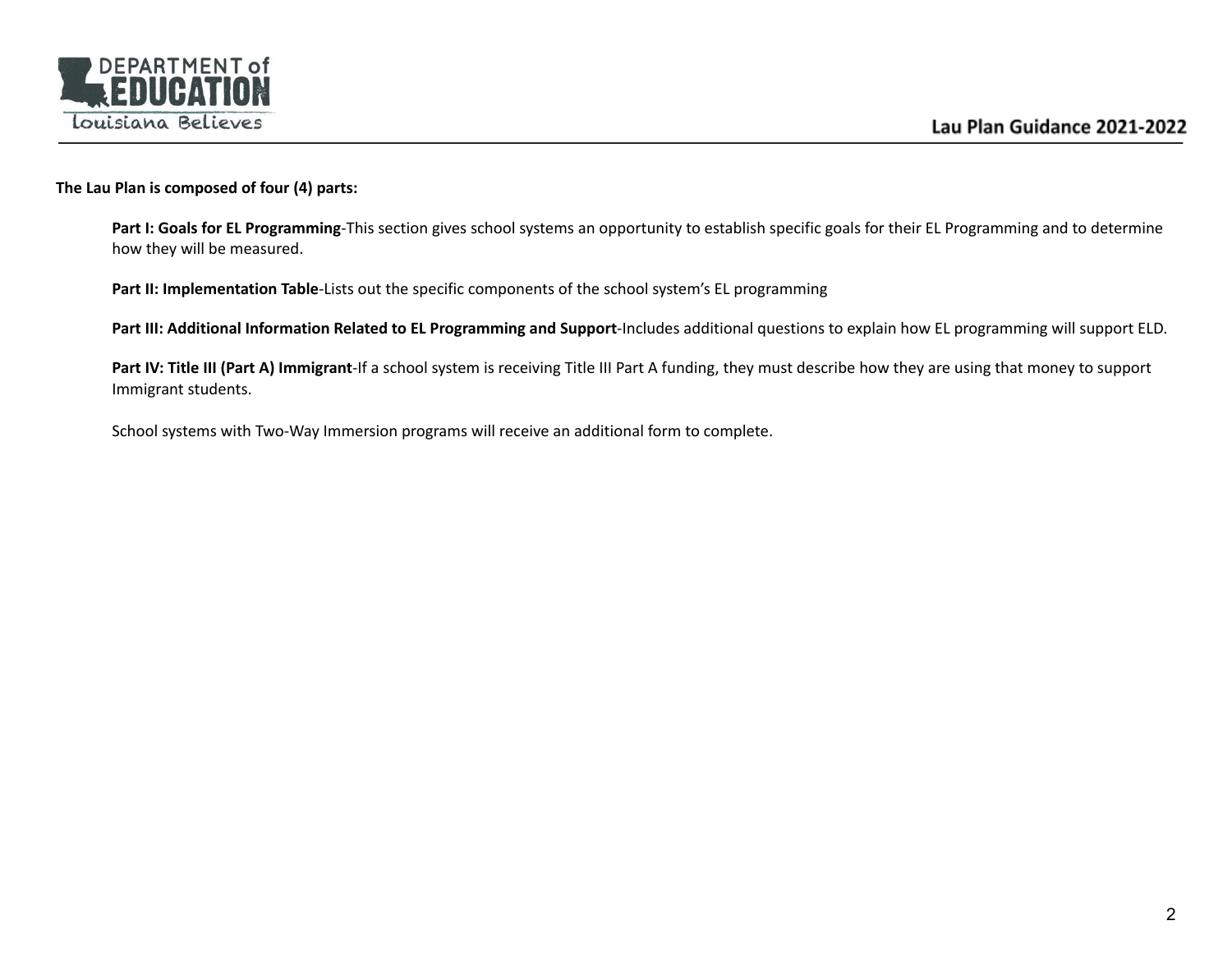

#### **The Lau Plan is composed of four (4) parts:**

**Part I: Goals for EL Programming**-This section gives school systems an opportunity to establish specific goals for their EL Programming and to determine how they will be measured.

**Part II: Implementation Table**-Lists out the specific components of the school system's EL programming

**Part III: Additional Information Related to EL Programming and Support**-Includes additional questions to explain how EL programming will support ELD.

**Part IV: Title III (Part A) Immigrant**-If a school system is receiving Title III Part A funding, they must describe how they are using that money to support Immigrant students.

School systems with Two-Way Immersion programs will receive an additional form to complete.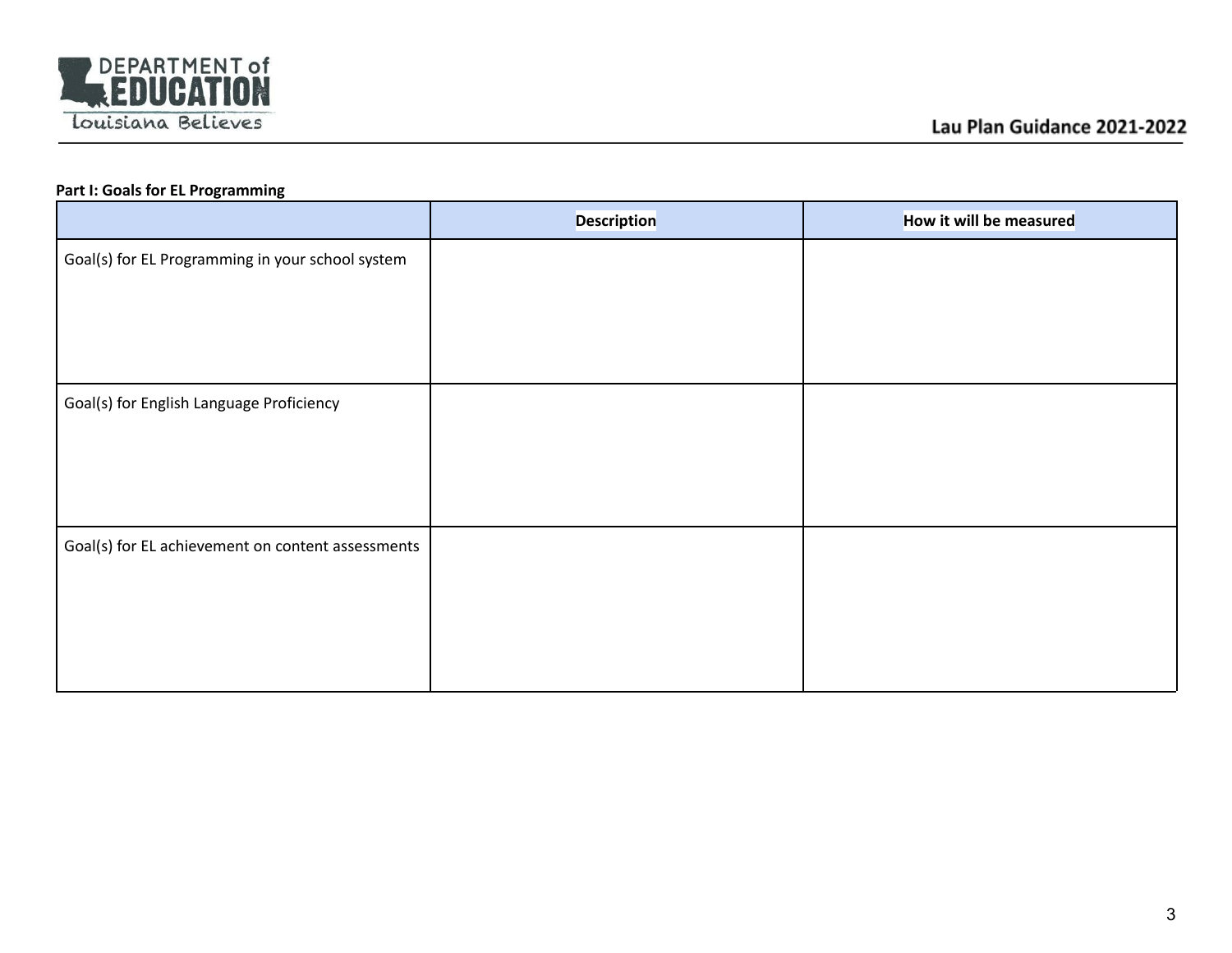

# **Part I: Goals for EL Programming**

|                                                   | <b>Description</b> | How it will be measured |
|---------------------------------------------------|--------------------|-------------------------|
| Goal(s) for EL Programming in your school system  |                    |                         |
|                                                   |                    |                         |
|                                                   |                    |                         |
|                                                   |                    |                         |
| Goal(s) for English Language Proficiency          |                    |                         |
|                                                   |                    |                         |
|                                                   |                    |                         |
|                                                   |                    |                         |
| Goal(s) for EL achievement on content assessments |                    |                         |
|                                                   |                    |                         |
|                                                   |                    |                         |
|                                                   |                    |                         |
|                                                   |                    |                         |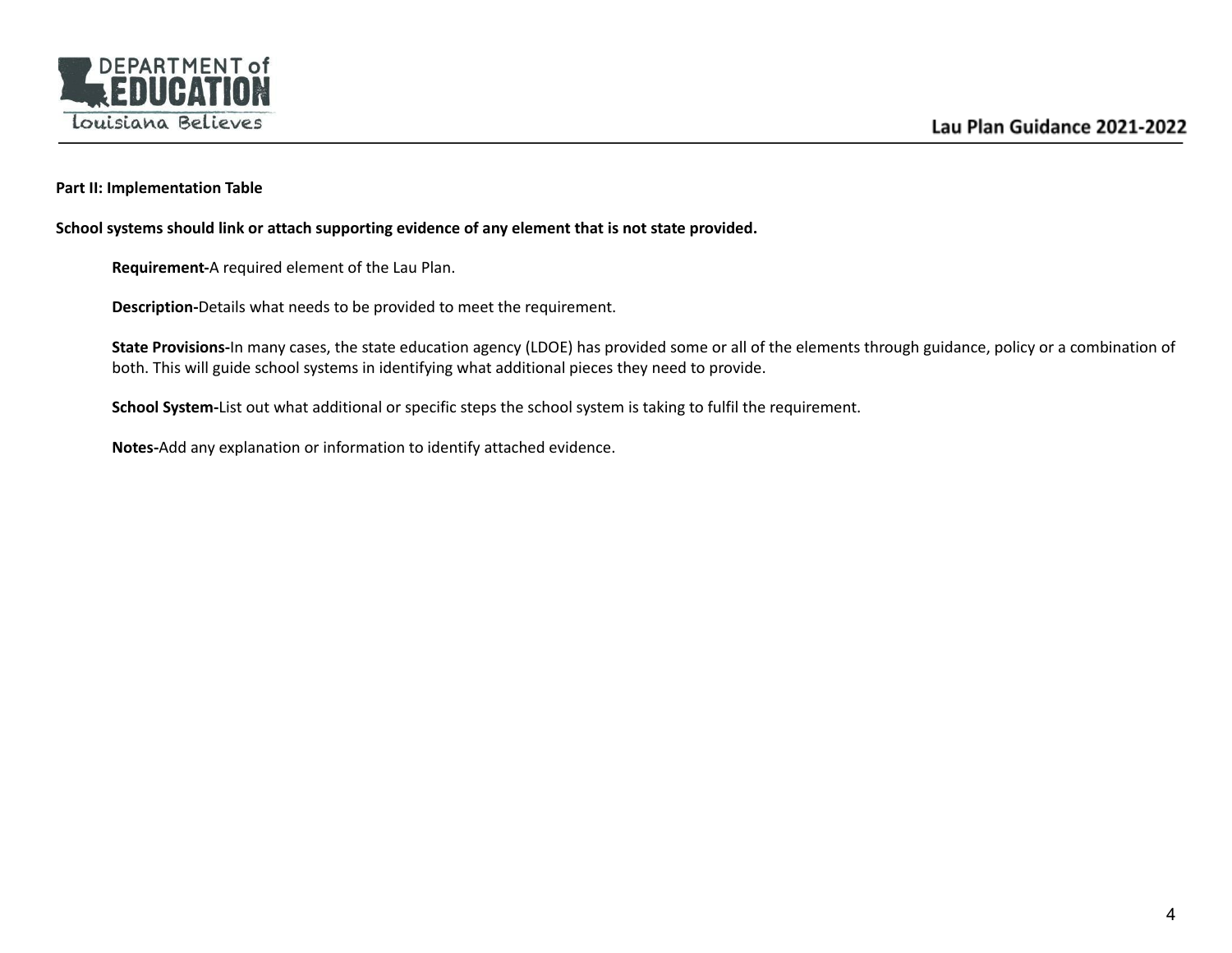

#### **Part II: Implementation Table**

**School systems should link or attach supporting evidence of any element that is not state provided.**

**Requirement-**A required element of the Lau Plan.

**Description-**Details what needs to be provided to meet the requirement.

**State Provisions-**In many cases, the state education agency (LDOE) has provided some or all of the elements through guidance, policy or a combination of both. This will guide school systems in identifying what additional pieces they need to provide.

**School System-**List out what additional or specific steps the school system is taking to fulfil the requirement.

**Notes-**Add any explanation or information to identify attached evidence.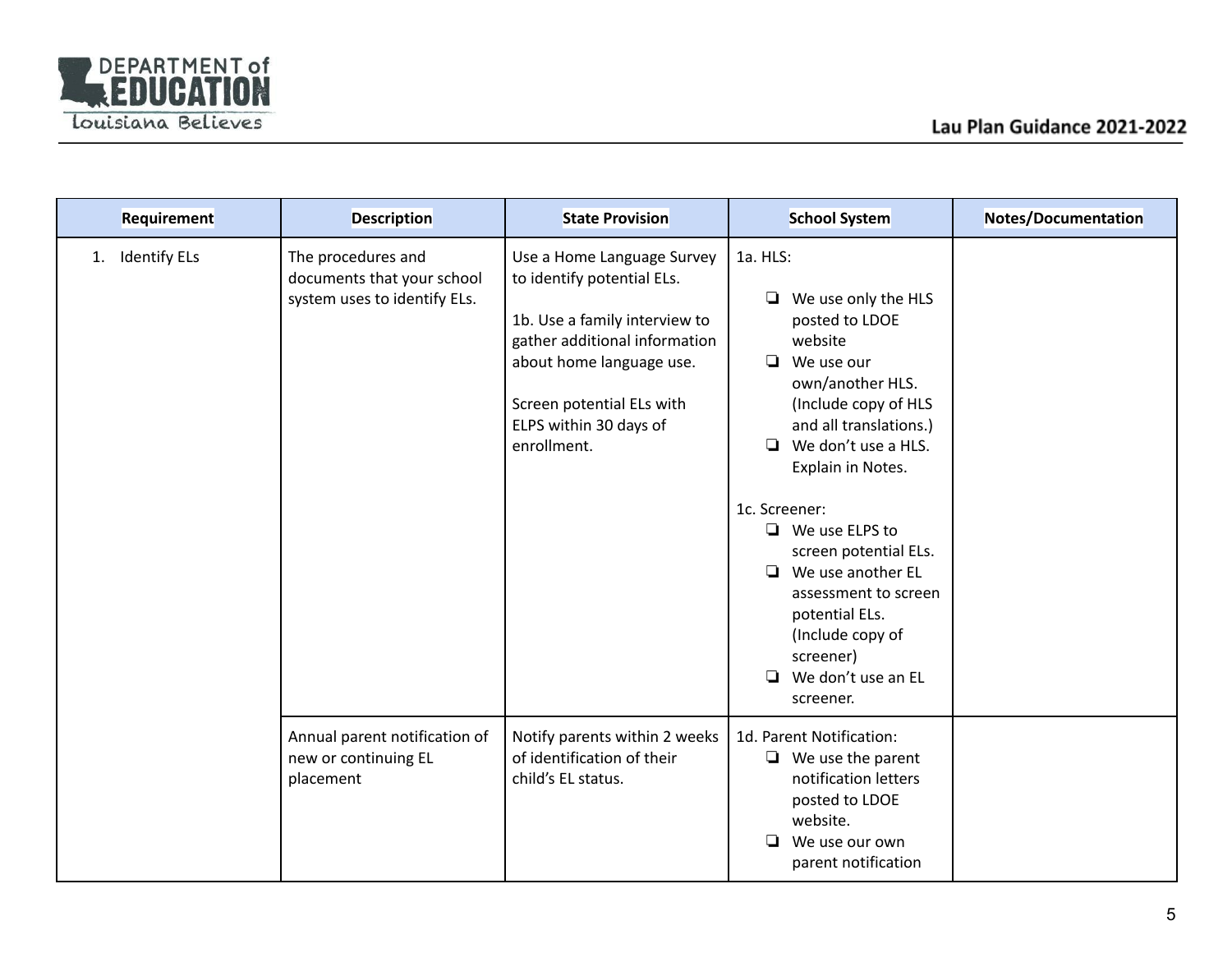

| Requirement               | <b>Description</b>                                                               | <b>State Provision</b>                                                                                                                                                                                                       | <b>School System</b>                                                                                                                                                                                                                                                                                                                                                                                                               | Notes/Documentation |
|---------------------------|----------------------------------------------------------------------------------|------------------------------------------------------------------------------------------------------------------------------------------------------------------------------------------------------------------------------|------------------------------------------------------------------------------------------------------------------------------------------------------------------------------------------------------------------------------------------------------------------------------------------------------------------------------------------------------------------------------------------------------------------------------------|---------------------|
| <b>Identify ELs</b><br>1. | The procedures and<br>documents that your school<br>system uses to identify ELs. | Use a Home Language Survey<br>to identify potential ELs.<br>1b. Use a family interview to<br>gather additional information<br>about home language use.<br>Screen potential ELs with<br>ELPS within 30 days of<br>enrollment. | 1a. HLS:<br>❏<br>We use only the HLS<br>posted to LDOE<br>website<br>We use our<br>$\Box$<br>own/another HLS.<br>(Include copy of HLS<br>and all translations.)<br>We don't use a HLS.<br>❏<br>Explain in Notes.<br>1c. Screener:<br>$\Box$ We use ELPS to<br>screen potential ELs.<br>$\Box$ We use another EL<br>assessment to screen<br>potential ELs.<br>(Include copy of<br>screener)<br>We don't use an EL<br>❏<br>screener. |                     |
|                           | Annual parent notification of<br>new or continuing EL<br>placement               | Notify parents within 2 weeks<br>of identification of their<br>child's EL status.                                                                                                                                            | 1d. Parent Notification:<br>$\Box$ We use the parent<br>notification letters<br>posted to LDOE<br>website.<br>❏<br>We use our own<br>parent notification                                                                                                                                                                                                                                                                           |                     |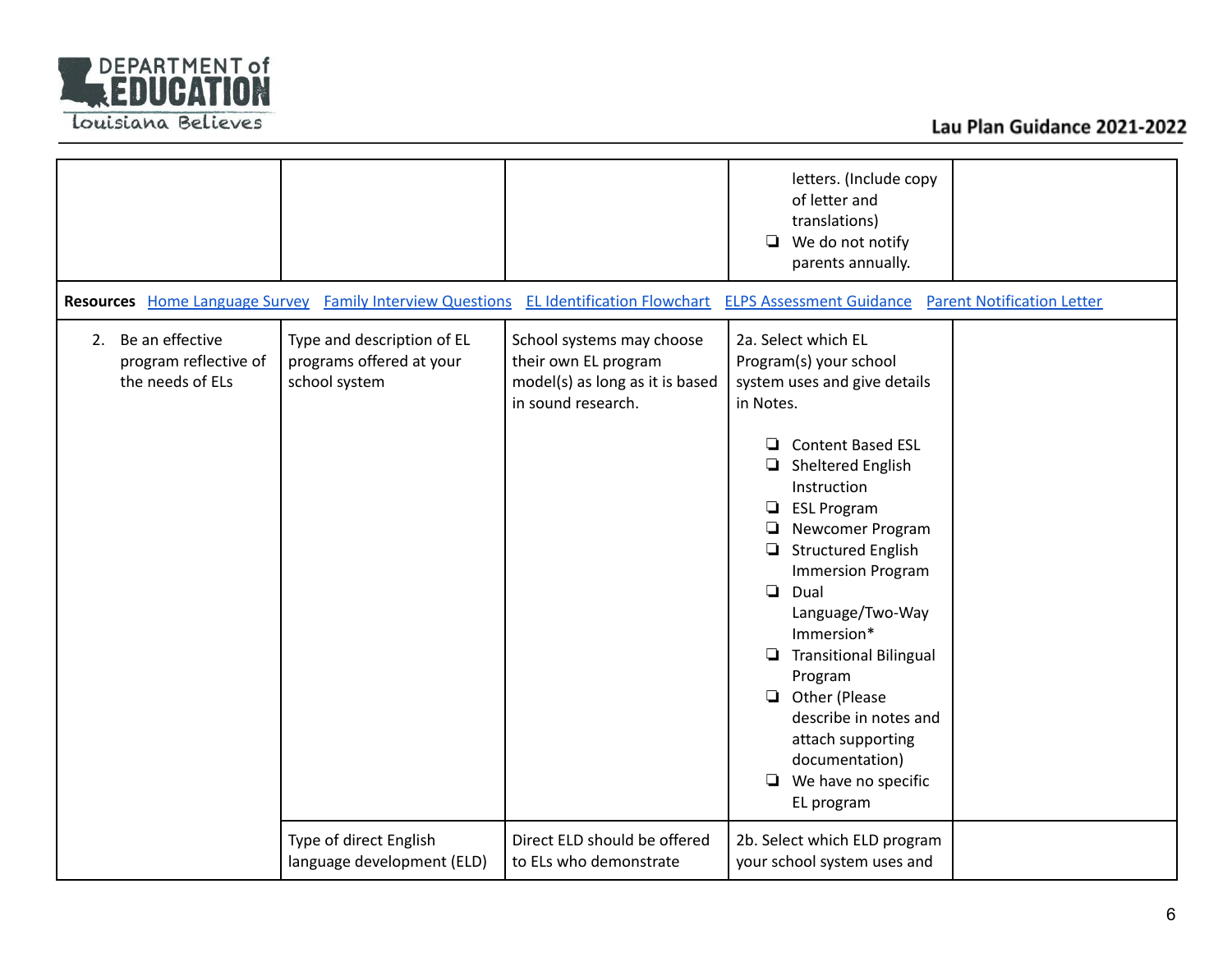

|                                                                 |                                                                         |                                                                                                            | letters. (Include copy<br>of letter and<br>translations)<br>We do not notify<br>❏<br>parents annually.                                                                                                                                                                                                                                                                                                                                                                                                                 |  |
|-----------------------------------------------------------------|-------------------------------------------------------------------------|------------------------------------------------------------------------------------------------------------|------------------------------------------------------------------------------------------------------------------------------------------------------------------------------------------------------------------------------------------------------------------------------------------------------------------------------------------------------------------------------------------------------------------------------------------------------------------------------------------------------------------------|--|
| <b>Resources</b> Home Language Survey                           | <b>Family Interview Questions</b>                                       | <b>EL Identification Flowchart</b>                                                                         | <b>ELPS Assessment Guidance</b><br><b>Parent Notification Letter</b>                                                                                                                                                                                                                                                                                                                                                                                                                                                   |  |
| 2. Be an effective<br>program reflective of<br>the needs of ELs | Type and description of EL<br>programs offered at your<br>school system | School systems may choose<br>their own EL program<br>model(s) as long as it is based<br>in sound research. | 2a. Select which EL<br>Program(s) your school<br>system uses and give details<br>in Notes.<br><b>Content Based ESL</b><br>❏<br>Sheltered English<br>❏<br>Instruction<br><b>ESL Program</b><br>$\Box$<br>Newcomer Program<br>❏<br><b>Structured English</b><br>❏<br><b>Immersion Program</b><br>❏<br>Dual<br>Language/Two-Way<br>Immersion*<br><b>Transitional Bilingual</b><br>❏<br>Program<br>Other (Please<br>describe in notes and<br>attach supporting<br>documentation)<br>We have no specific<br>❏<br>EL program |  |
|                                                                 | Type of direct English<br>language development (ELD)                    | Direct ELD should be offered<br>to ELs who demonstrate                                                     | 2b. Select which ELD program<br>your school system uses and                                                                                                                                                                                                                                                                                                                                                                                                                                                            |  |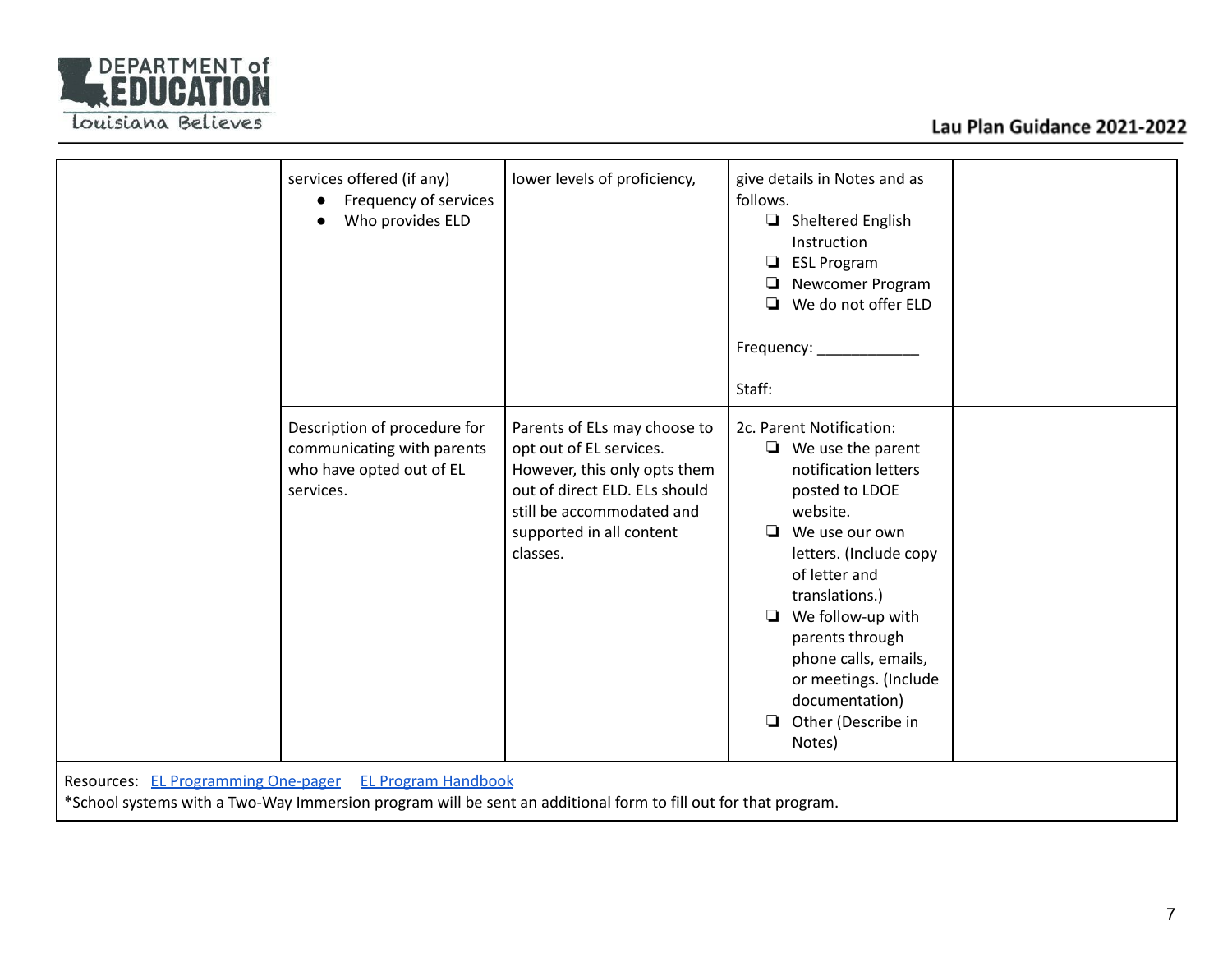

# Lau Plan Guidance 2021-2022

|                                                                                                                                                                           | services offered (if any)<br>Frequency of services<br>$\bullet$<br>Who provides ELD                 | lower levels of proficiency,                                                                                                                                                                  | give details in Notes and as<br>follows.<br>Sheltered English<br>Instruction<br><b>ESL Program</b><br>▫<br>Newcomer Program<br>▫<br>We do not offer ELD<br>Frequency: _______<br>Staff:                                                                                                                                                   |
|---------------------------------------------------------------------------------------------------------------------------------------------------------------------------|-----------------------------------------------------------------------------------------------------|-----------------------------------------------------------------------------------------------------------------------------------------------------------------------------------------------|-------------------------------------------------------------------------------------------------------------------------------------------------------------------------------------------------------------------------------------------------------------------------------------------------------------------------------------------|
|                                                                                                                                                                           | Description of procedure for<br>communicating with parents<br>who have opted out of EL<br>services. | Parents of ELs may choose to<br>opt out of EL services.<br>However, this only opts them<br>out of direct ELD. ELs should<br>still be accommodated and<br>supported in all content<br>classes. | 2c. Parent Notification:<br>$\Box$ We use the parent<br>notification letters<br>posted to LDOE<br>website.<br>We use our own<br>letters. (Include copy<br>of letter and<br>translations.)<br>We follow-up with<br>parents through<br>phone calls, emails,<br>or meetings. (Include<br>documentation)<br>Other (Describe in<br>□<br>Notes) |
| Resources: EL Programming One-pager EL Program Handbook<br>*School systems with a Two-Way Immersion program will be sent an additional form to fill out for that program. |                                                                                                     |                                                                                                                                                                                               |                                                                                                                                                                                                                                                                                                                                           |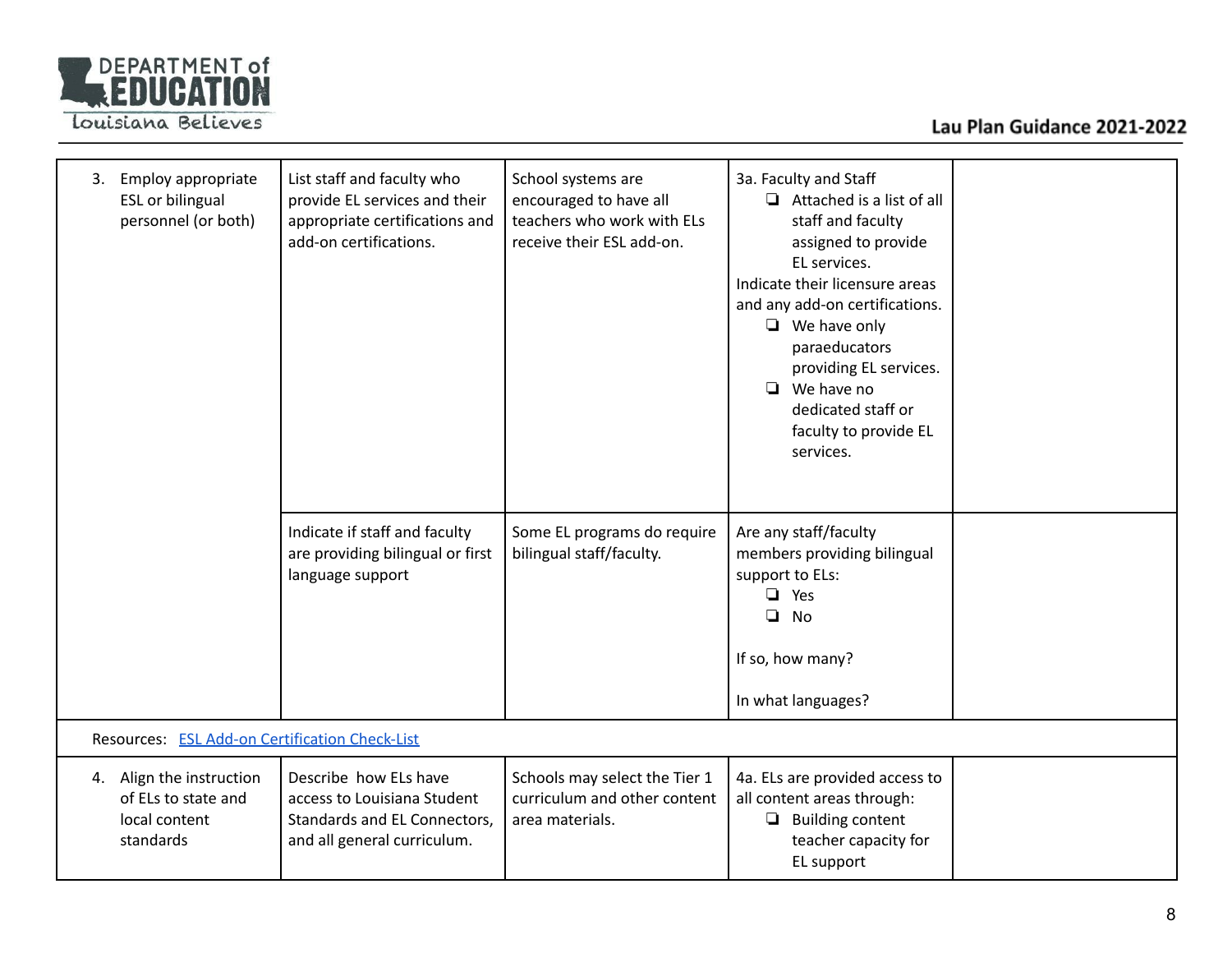

# Lau Plan Guidance 2021-2022

| Employ appropriate<br>3.<br><b>ESL or bilingual</b><br>personnel (or both)    | List staff and faculty who<br>provide EL services and their<br>appropriate certifications and<br>add-on certifications. | School systems are<br>encouraged to have all<br>teachers who work with ELs<br>receive their ESL add-on. | 3a. Faculty and Staff<br>$\Box$ Attached is a list of all<br>staff and faculty<br>assigned to provide<br>EL services.<br>Indicate their licensure areas<br>and any add-on certifications.<br>$\Box$ We have only<br>paraeducators<br>providing EL services.<br>$\Box$ We have no<br>dedicated staff or<br>faculty to provide EL<br>services. |  |
|-------------------------------------------------------------------------------|-------------------------------------------------------------------------------------------------------------------------|---------------------------------------------------------------------------------------------------------|----------------------------------------------------------------------------------------------------------------------------------------------------------------------------------------------------------------------------------------------------------------------------------------------------------------------------------------------|--|
|                                                                               | Indicate if staff and faculty<br>are providing bilingual or first<br>language support                                   | Some EL programs do require<br>bilingual staff/faculty.                                                 | Are any staff/faculty<br>members providing bilingual<br>support to ELs:<br>Yes<br>❏<br>$\Box$<br><b>No</b><br>If so, how many?<br>In what languages?                                                                                                                                                                                         |  |
| Resources: ESL Add-on Certification Check-List                                |                                                                                                                         |                                                                                                         |                                                                                                                                                                                                                                                                                                                                              |  |
| 4. Align the instruction<br>of ELs to state and<br>local content<br>standards | Describe how ELs have<br>access to Louisiana Student<br>Standards and EL Connectors,<br>and all general curriculum.     | Schools may select the Tier 1<br>curriculum and other content<br>area materials.                        | 4a. ELs are provided access to<br>all content areas through:<br>$\Box$ Building content<br>teacher capacity for<br>EL support                                                                                                                                                                                                                |  |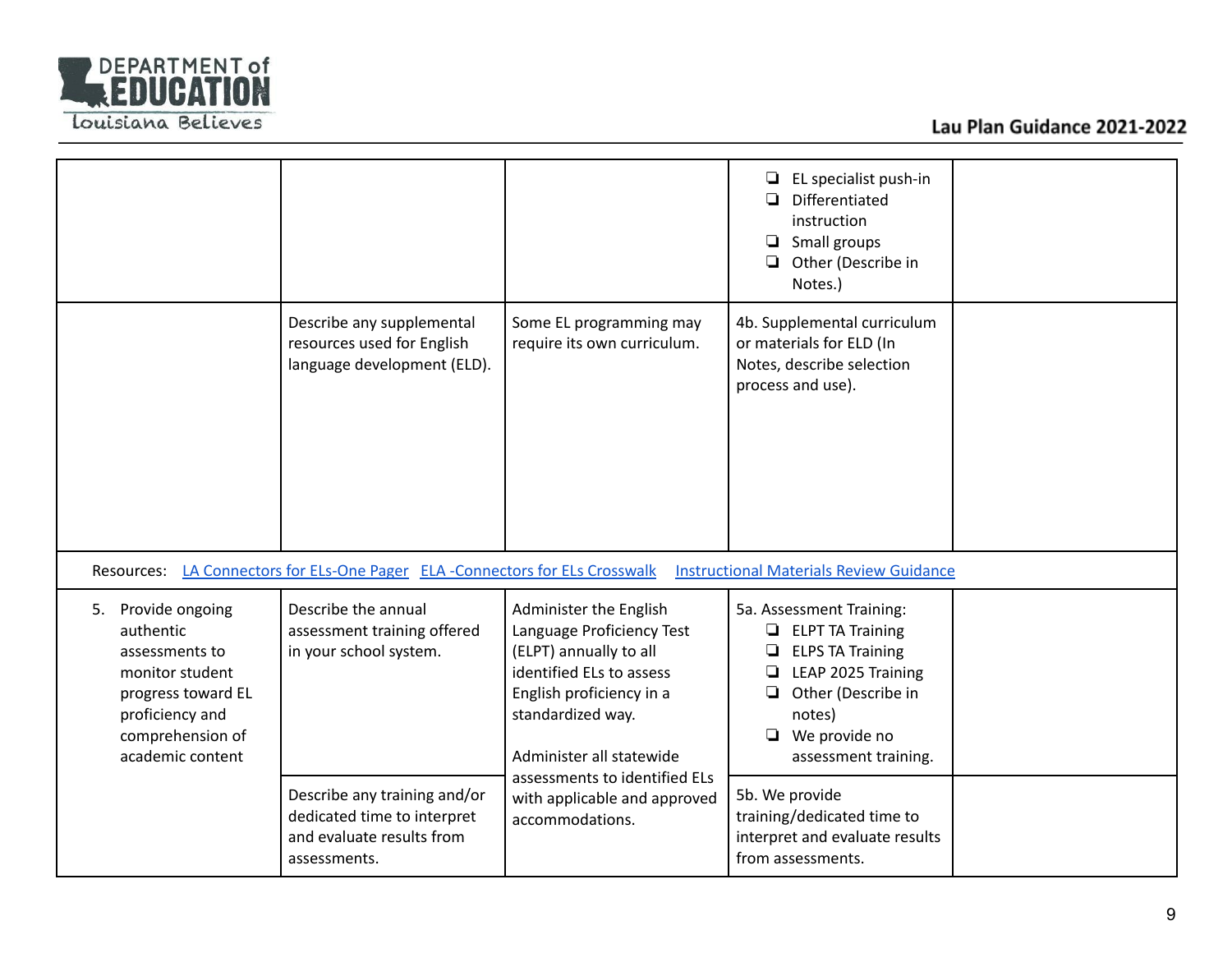

|                                                                                                                                                          |                                                                                                          |                                                                                                                                                                                        | EL specialist push-in<br>❏<br>Differentiated<br>instruction<br>Small groups<br>❏<br>Other (Describe in<br>Notes.)                                                                                 |  |
|----------------------------------------------------------------------------------------------------------------------------------------------------------|----------------------------------------------------------------------------------------------------------|----------------------------------------------------------------------------------------------------------------------------------------------------------------------------------------|---------------------------------------------------------------------------------------------------------------------------------------------------------------------------------------------------|--|
|                                                                                                                                                          | Describe any supplemental<br>resources used for English<br>language development (ELD).                   | Some EL programming may<br>require its own curriculum.                                                                                                                                 | 4b. Supplemental curriculum<br>or materials for ELD (In<br>Notes, describe selection<br>process and use).                                                                                         |  |
|                                                                                                                                                          | Resources: LA Connectors for ELs-One Pager ELA -Connectors for ELs Crosswalk                             |                                                                                                                                                                                        | <b>Instructional Materials Review Guidance</b>                                                                                                                                                    |  |
| Provide ongoing<br>5.<br>authentic<br>assessments to<br>monitor student<br>progress toward EL<br>proficiency and<br>comprehension of<br>academic content | Describe the annual<br>assessment training offered<br>in your school system.                             | Administer the English<br>Language Proficiency Test<br>(ELPT) annually to all<br>identified ELs to assess<br>English proficiency in a<br>standardized way.<br>Administer all statewide | 5a. Assessment Training:<br>$\Box$ ELPT TA Training<br><b>ELPS TA Training</b><br>LEAP 2025 Training<br>❏<br>Other (Describe in<br>❏<br>notes)<br>We provide no<br>$\Box$<br>assessment training. |  |
|                                                                                                                                                          | Describe any training and/or<br>dedicated time to interpret<br>and evaluate results from<br>assessments. | assessments to identified ELs<br>with applicable and approved<br>accommodations.                                                                                                       | 5b. We provide<br>training/dedicated time to<br>interpret and evaluate results<br>from assessments.                                                                                               |  |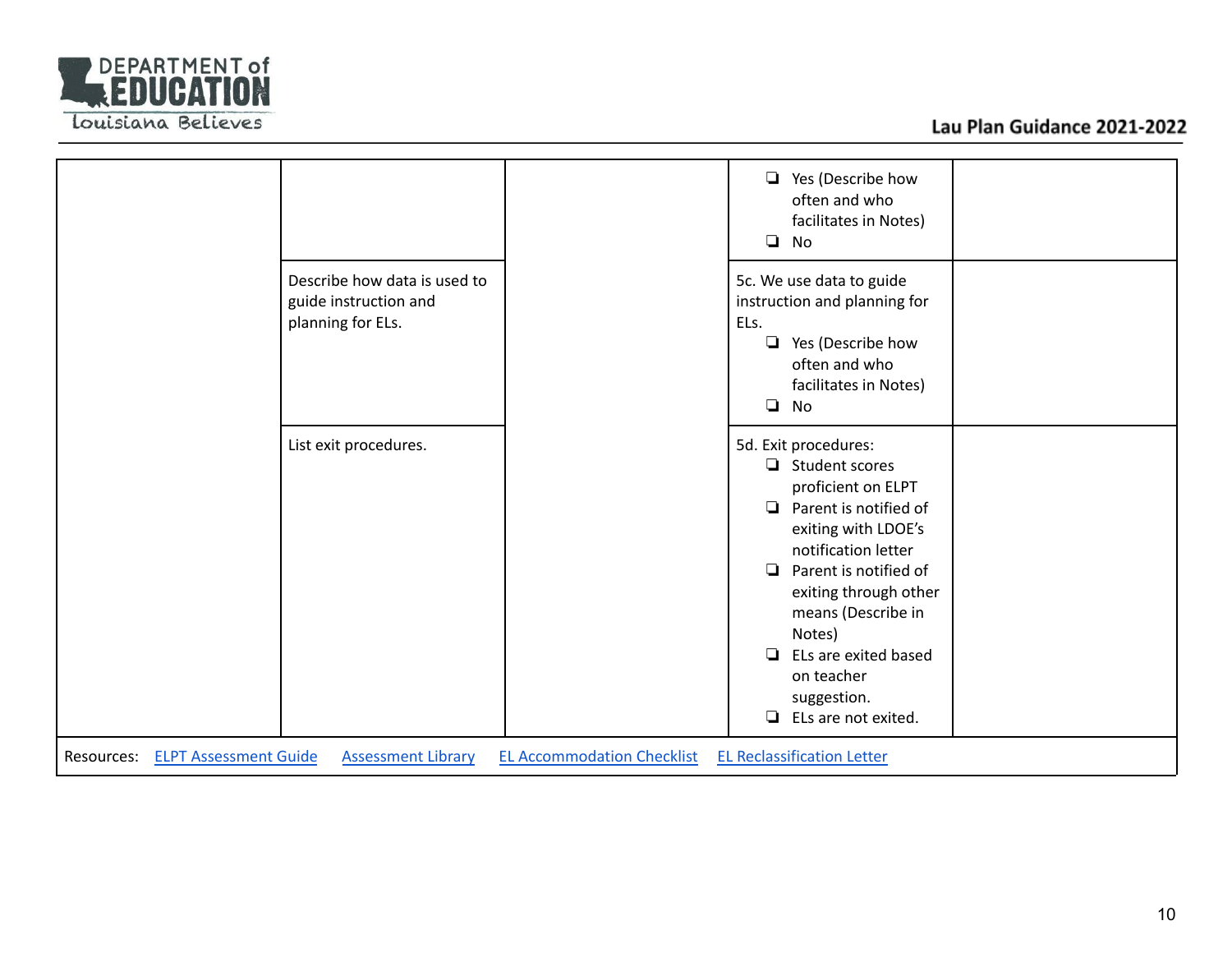

|                                                                                                                                                   | Yes (Describe how<br>$\Box$<br>often and who<br>facilitates in Notes)<br>$\Box$<br>No                                                                                                                                                                                                                                                            |  |
|---------------------------------------------------------------------------------------------------------------------------------------------------|--------------------------------------------------------------------------------------------------------------------------------------------------------------------------------------------------------------------------------------------------------------------------------------------------------------------------------------------------|--|
| Describe how data is used to<br>guide instruction and<br>planning for ELs.                                                                        | 5c. We use data to guide<br>instruction and planning for<br>ELs.<br>$\Box$ Yes (Describe how<br>often and who<br>facilitates in Notes)<br>$\Box$<br>No                                                                                                                                                                                           |  |
| List exit procedures.                                                                                                                             | 5d. Exit procedures:<br>$\Box$ Student scores<br>proficient on ELPT<br>Parent is notified of<br>$\Box$<br>exiting with LDOE's<br>notification letter<br>Parent is notified of<br>$\Box$<br>exiting through other<br>means (Describe in<br>Notes)<br>ELs are exited based<br>$\Box$<br>on teacher<br>suggestion.<br>ELs are not exited.<br>$\Box$ |  |
| <b>EL Accommodation Checklist</b><br><b>EL Reclassification Letter</b><br><b>ELPT Assessment Guide</b><br><b>Assessment Library</b><br>Resources: |                                                                                                                                                                                                                                                                                                                                                  |  |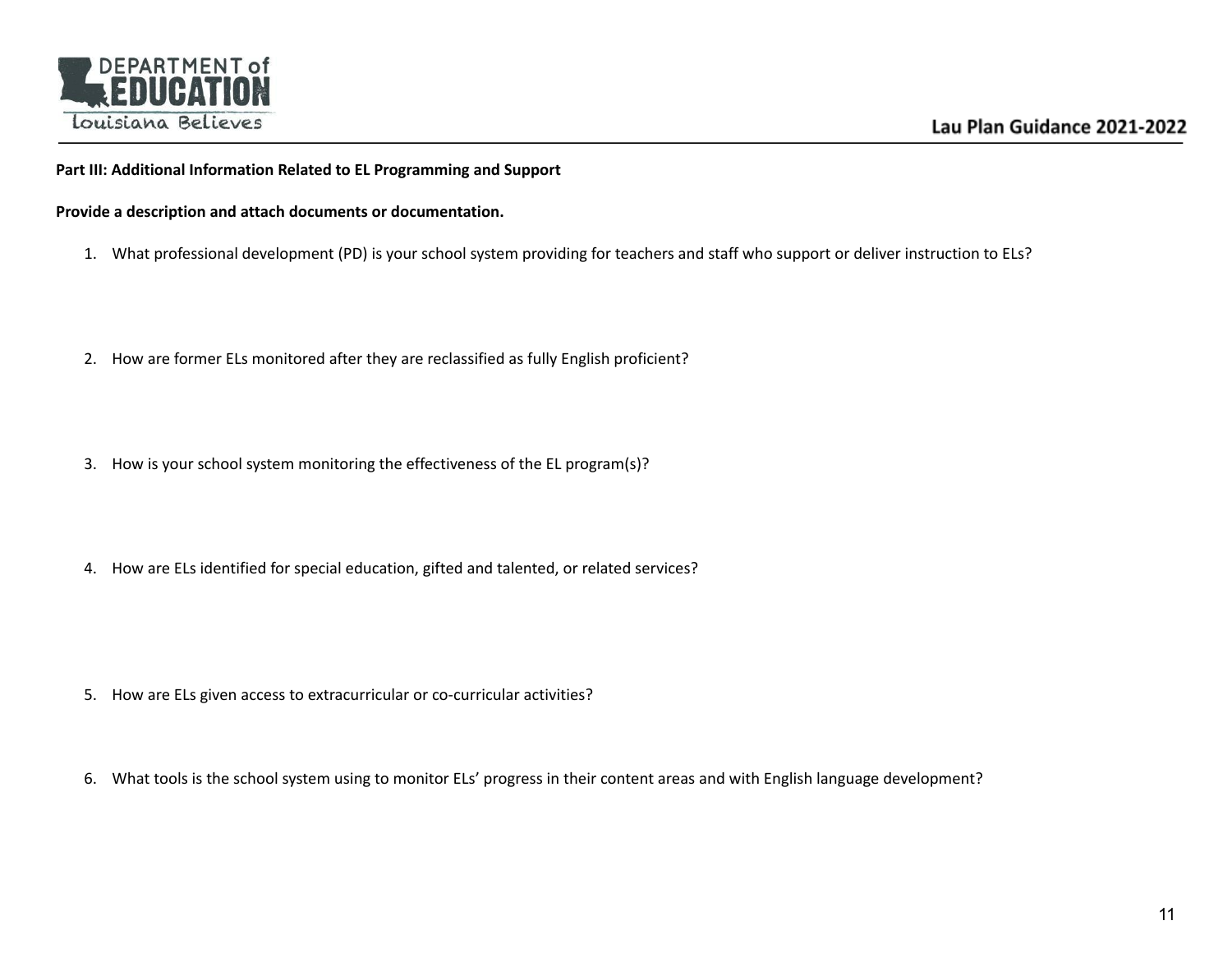

### **Part III: Additional Information Related to EL Programming and Support**

**Provide a description and attach documents or documentation.**

- 1. What professional development (PD) is your school system providing for teachers and staff who support or deliver instruction to ELs?
- 2. How are former ELs monitored after they are reclassified as fully English proficient?
- 3. How is your school system monitoring the effectiveness of the EL program(s)?
- 4. How are ELs identified for special education, gifted and talented, or related services?

- 5. How are ELs given access to extracurricular or co-curricular activities?
- 6. What tools is the school system using to monitor ELs' progress in their content areas and with English language development?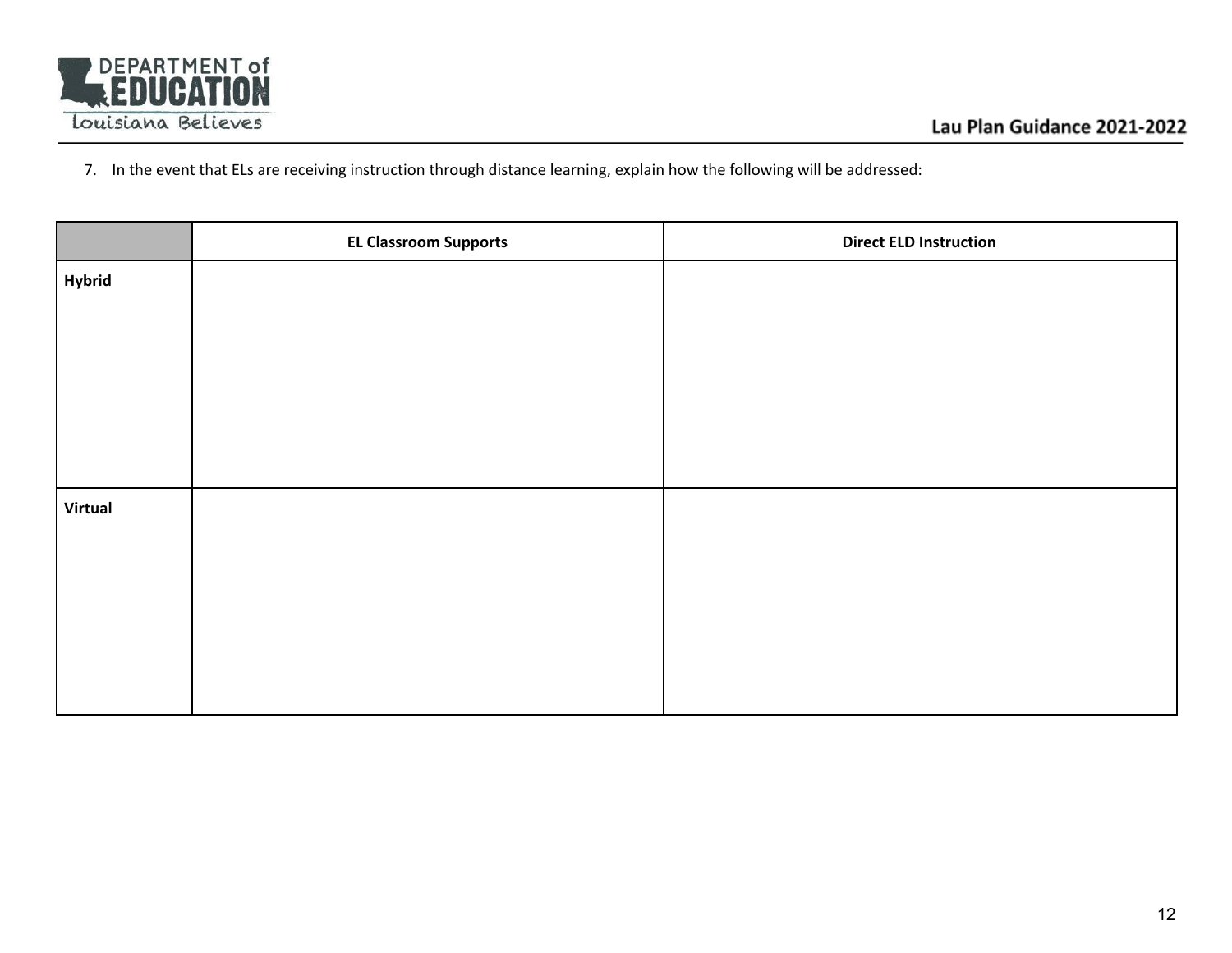

7. In the event that ELs are receiving instruction through distance learning, explain how the following will be addressed:

|                | <b>EL Classroom Supports</b> | <b>Direct ELD Instruction</b> |
|----------------|------------------------------|-------------------------------|
| <b>Hybrid</b>  |                              |                               |
|                |                              |                               |
|                |                              |                               |
|                |                              |                               |
|                |                              |                               |
|                |                              |                               |
| <b>Virtual</b> |                              |                               |
|                |                              |                               |
|                |                              |                               |
|                |                              |                               |
|                |                              |                               |
|                |                              |                               |